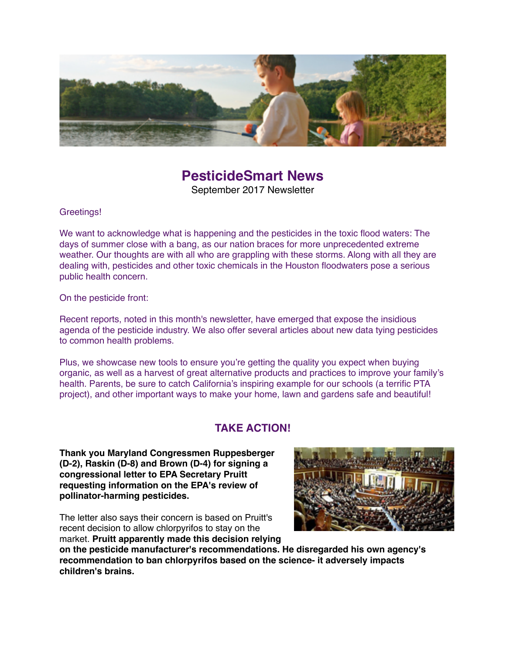

# **PesticideSmart News**

September 2017 Newsletter

Greetings!

We want to acknowledge what is happening and the pesticides in the toxic flood waters: The days of summer close with a bang, as our nation braces for more unprecedented extreme weather. Our thoughts are with all who are grappling with these storms. Along with all they are dealing with, pesticides and other toxic chemicals in the Houston floodwaters pose a serious public health concern.

On the pesticide front:

Recent reports, noted in this month's newsletter, have emerged that expose the insidious agenda of the pesticide industry. We also offer several articles about new data tying pesticides to common health problems.

Plus, we showcase new tools to ensure you're getting the quality you expect when buying organic, as well as a harvest of great alternative products and practices to improve your family's health. Parents, be sure to catch California's inspiring example for our schools (a terrific PTA project), and other important ways to make your home, lawn and gardens safe and beautiful!

## **TAKE ACTION!**

**Thank you Maryland Congressmen Ruppesberger (D-2), Raskin (D-8) and Brown (D-4) for signing a congressional letter to EPA Secretary Pruitt requesting information on the EPA's review of pollinator-harming pesticides.**

The letter also says their concern is based on Pruitt's recent decision to allow chlorpyrifos to stay on the market. **Pruitt apparently made this decision relying** 



**on the pesticide manufacturer's recommendations. He disregarded his own agency's recommendation to ban chlorpyrifos based on the science- it adversely impacts children's brains.**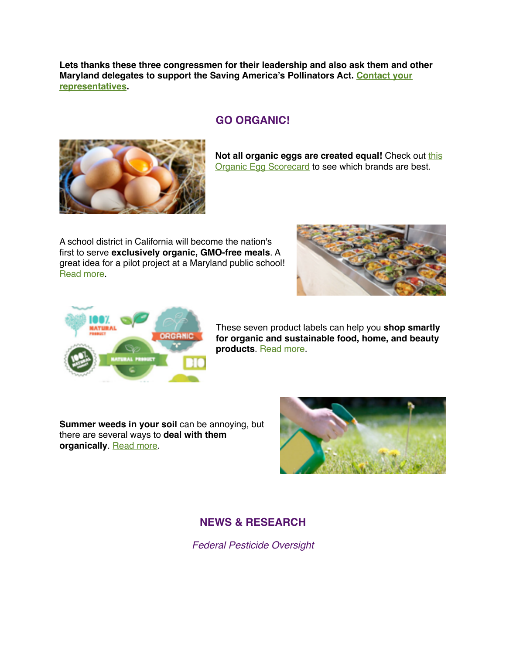**Lets thanks these three congressmen for their leadership and also ask them and other [Maryland delegates to support the Saving America's Pollinators Act. Contact your](https://www.govtrack.us/congress/members/MD#representatives)  representatives.**

### **GO ORGANIC!**



**Not all organic eggs are created equal!** Check out this **[Organic Egg Scorecard to see which brands are best.](https://www.cornucopia.org/organic-egg-scorecard/)** 

A school district in California will become the nation's first to serve **exclusively organic, GMO-free meals**. A great idea for a pilot project at a Maryland public school! [Read more](http://www.healthy-holistic-living.com/americas-first-school-district-to-serve-100-organic-meals.html?t=MAM).





These seven product labels can help you **shop smartly for organic and sustainable food, home, and beauty products**. [Read more.](https://www.rodalesorganiclife.com/food/new-sustainable-product-labels?utm_campaign=OrganicLife&utm_source=rodalesorganiclife.com&utm_medium=newsletter&smartcode=YN_0005409186_0001627240&sha1hashlower=78f458218bd26cd0a0c9843f2703bff3c35dd3fd&md5hash=e41dc230251a478412b9b0aaf5616c09)

**Summer weeds in your soil** can be annoying, but there are several ways to **deal with them organically**. [Read more.](https://www.rodalesorganiclife.com/garden/organic-weed-control-methods?utm_campaign=OrganicLife&utm_source=rodalesorganiclife.com&utm_medium=newsletter&smartcode=YN_0005409186_0001628271&sha1hashlower=78f458218bd26cd0a0c9843f2703bff3c35dd3fd&md5hash=e41dc230251a478412b9b0aaf5616c09)



## **NEWS & RESEARCH**

*Federal Pesticide Oversight*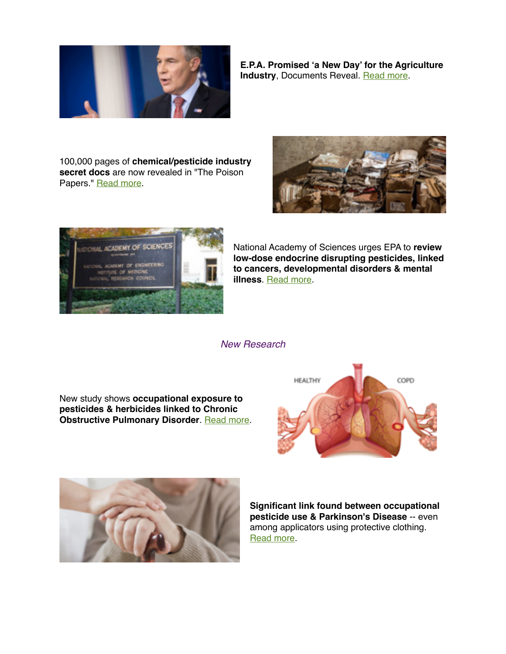

**E.P.A. Promised 'a New Day' for the Agriculture Industry**, Documents Reveal. [Read more.](https://www.nytimes.com/2017/08/18/us/politics/epa-agriculture-industry.html?mcubz=1&_r=0)

100,000 pages of **chemical/pesticide industry secret docs** are now revealed in "The Poison Papers." [Read more](http://bit.ly/2vbqsyF%C2%A0).





National Academy of Sciences urges EPA to **review low-dose endocrine disrupting pesticides, linked to cancers, developmental disorders & mental illness**. [Read more](http://bit.ly/2v54FIQ).

*New Research*

New study shows **occupational exposure to pesticides & herbicides linked to Chronic Obstructive Pulmonary Disorder**. [Read more.](http://reut.rs/2ua898e)





**Significant link found between occupational pesticide use & Parkinson's Disease** -- even among applicators using protective clothing. [Read more.](http://bit.ly/2hX9myQ)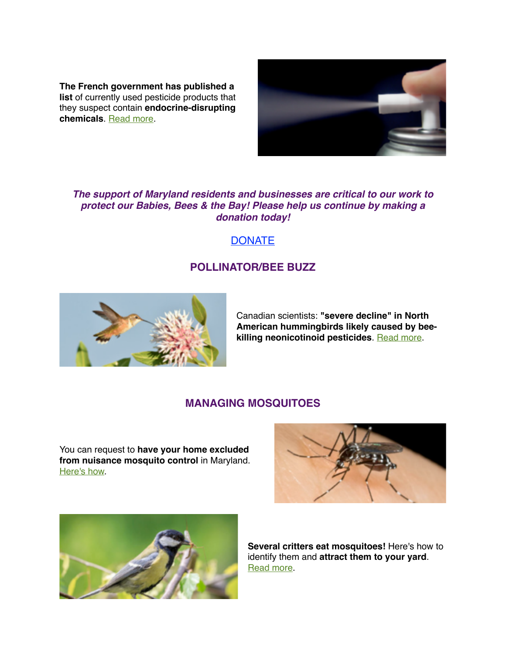**The French government has published a list** of currently used pesticide products that they suspect contain **endocrine-disrupting chemicals**. [Read more.](https://www.connexionfrance.com/French-news/Official-list-of-endocrine-disruptors-published)



#### *The support of Maryland residents and businesses are critical to our work to protect our Babies, Bees & the Bay! Please help us continue by making a donation today!*

## **[DONATE](https://www.connexionfrance.com/French-news/Official-list-of-endocrine-disruptors-published)**

## **POLLINATOR/BEE BUZZ**



Canadian scientists: **"severe decline" in North American hummingbirds likely caused by beekilling neonicotinoid pesticides**. [Read more.](http://bit.ly/2sHyZES)

#### **MANAGING MOSQUITOES**

You can request to **have your home excluded from nuisance mosquito control** in Maryland. [Here's how](http://www.mdpestnet.org/learn/mosquito-management/how-to-exclude-your-property-from-mds-mosquito-control-program/).





**Several critters eat mosquitoes!** Here's how to identify them and **attract them to your yard**. [Read more](https://www.rodalesorganiclife.com/home/animals-and-insects-that-eat-mosquitoes).